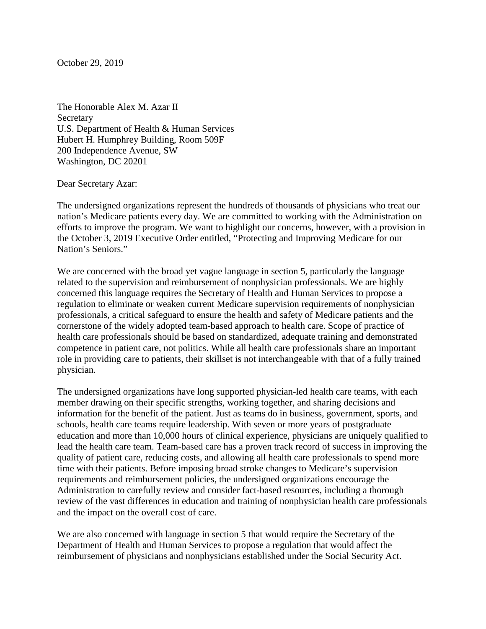October 29, 2019

The Honorable Alex M. Azar II **Secretary** U.S. Department of Health & Human Services Hubert H. Humphrey Building, Room 509F 200 Independence Avenue, SW Washington, DC 20201

Dear Secretary Azar:

The undersigned organizations represent the hundreds of thousands of physicians who treat our nation's Medicare patients every day. We are committed to working with the Administration on efforts to improve the program. We want to highlight our concerns, however, with a provision in the October 3, 2019 Executive Order entitled, "Protecting and Improving Medicare for our Nation's Seniors."

We are concerned with the broad yet vague language in section 5, particularly the language related to the supervision and reimbursement of nonphysician professionals. We are highly concerned this language requires the Secretary of Health and Human Services to propose a regulation to eliminate or weaken current Medicare supervision requirements of nonphysician professionals, a critical safeguard to ensure the health and safety of Medicare patients and the cornerstone of the widely adopted team-based approach to health care. Scope of practice of health care professionals should be based on standardized, adequate training and demonstrated competence in patient care, not politics. While all health care professionals share an important role in providing care to patients, their skillset is not interchangeable with that of a fully trained physician.

The undersigned organizations have long supported physician-led health care teams, with each member drawing on their specific strengths, working together, and sharing decisions and information for the benefit of the patient. Just as teams do in business, government, sports, and schools, health care teams require leadership. With seven or more years of postgraduate education and more than 10,000 hours of clinical experience, physicians are uniquely qualified to lead the health care team. Team-based care has a proven track record of success in improving the quality of patient care, reducing costs, and allowing all health care professionals to spend more time with their patients. Before imposing broad stroke changes to Medicare's supervision requirements and reimbursement policies, the undersigned organizations encourage the Administration to carefully review and consider fact-based resources, including a thorough review of the vast differences in education and training of nonphysician health care professionals and the impact on the overall cost of care.

We are also concerned with language in section 5 that would require the Secretary of the Department of Health and Human Services to propose a regulation that would affect the reimbursement of physicians and nonphysicians established under the Social Security Act.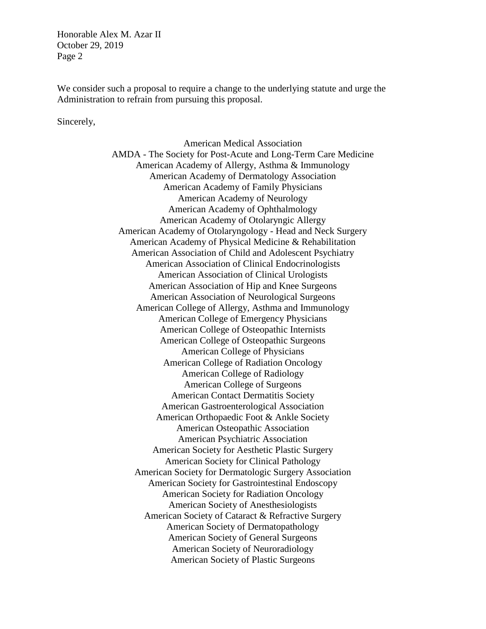Honorable Alex M. Azar II October 29, 2019 Page 2

We consider such a proposal to require a change to the underlying statute and urge the Administration to refrain from pursuing this proposal.

Sincerely,

American Medical Association AMDA - The Society for Post-Acute and Long-Term Care Medicine American Academy of Allergy, Asthma & Immunology American Academy of Dermatology Association American Academy of Family Physicians American Academy of Neurology American Academy of Ophthalmology American Academy of Otolaryngic Allergy American Academy of Otolaryngology - Head and Neck Surgery American Academy of Physical Medicine & Rehabilitation American Association of Child and Adolescent Psychiatry American Association of Clinical Endocrinologists American Association of Clinical Urologists American Association of Hip and Knee Surgeons American Association of Neurological Surgeons American College of Allergy, Asthma and Immunology American College of Emergency Physicians American College of Osteopathic Internists American College of Osteopathic Surgeons American College of Physicians American College of Radiation Oncology American College of Radiology American College of Surgeons American Contact Dermatitis Society American Gastroenterological Association American Orthopaedic Foot & Ankle Society American Osteopathic Association American Psychiatric Association American Society for Aesthetic Plastic Surgery American Society for Clinical Pathology American Society for Dermatologic Surgery Association American Society for Gastrointestinal Endoscopy American Society for Radiation Oncology American Society of Anesthesiologists American Society of Cataract & Refractive Surgery American Society of Dermatopathology American Society of General Surgeons American Society of Neuroradiology American Society of Plastic Surgeons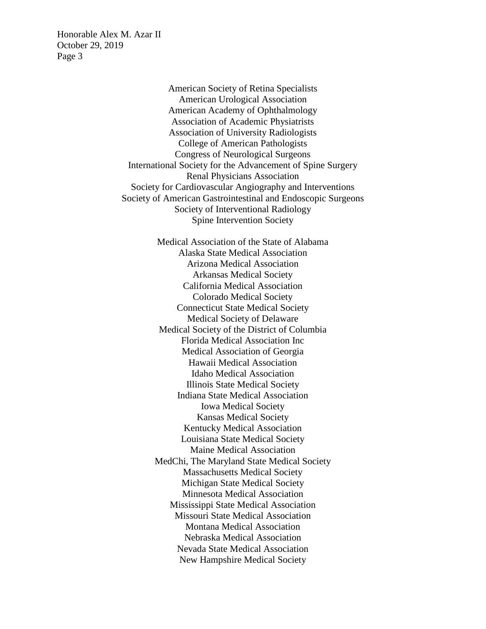Honorable Alex M. Azar II October 29, 2019 Page 3

> American Society of Retina Specialists American Urological Association American Academy of Ophthalmology Association of Academic Physiatrists Association of University Radiologists College of American Pathologists Congress of Neurological Surgeons International Society for the Advancement of Spine Surgery Renal Physicians Association Society for Cardiovascular Angiography and Interventions Society of American Gastrointestinal and Endoscopic Surgeons Society of Interventional Radiology Spine Intervention Society

> > Medical Association of the State of Alabama Alaska State Medical Association Arizona Medical Association Arkansas Medical Society California Medical Association Colorado Medical Society Connecticut State Medical Society Medical Society of Delaware Medical Society of the District of Columbia Florida Medical Association Inc Medical Association of Georgia Hawaii Medical Association Idaho Medical Association Illinois State Medical Society Indiana State Medical Association Iowa Medical Society Kansas Medical Society Kentucky Medical Association Louisiana State Medical Society Maine Medical Association MedChi, The Maryland State Medical Society Massachusetts Medical Society Michigan State Medical Society Minnesota Medical Association Mississippi State Medical Association Missouri State Medical Association Montana Medical Association Nebraska Medical Association Nevada State Medical Association New Hampshire Medical Society